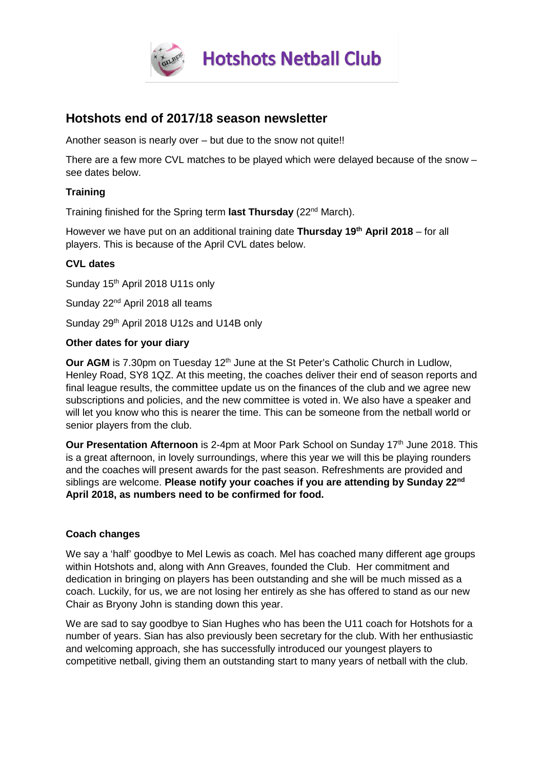

# **Hotshots end of 2017/18 season newsletter**

Another season is nearly over – but due to the snow not quite!!

There are a few more CVL matches to be played which were delayed because of the snow – see dates below.

#### **Training**

Training finished for the Spring term **last Thursday** (22nd March).

However we have put on an additional training date **Thursday 19th April 2018** – for all players. This is because of the April CVL dates below.

# **CVL dates**

Sunday 15<sup>th</sup> April 2018 U11s only

Sunday 22<sup>nd</sup> April 2018 all teams

Sunday 29<sup>th</sup> April 2018 U12s and U14B only

#### **Other dates for your diary**

**Our AGM** is 7.30pm on Tuesday 12<sup>th</sup> June at the St Peter's Catholic Church in Ludlow, Henley Road, SY8 1QZ. At this meeting, the coaches deliver their end of season reports and final league results, the committee update us on the finances of the club and we agree new subscriptions and policies, and the new committee is voted in. We also have a speaker and will let you know who this is nearer the time. This can be someone from the netball world or senior players from the club.

**Our Presentation Afternoon** is 2-4pm at Moor Park School on Sunday 17<sup>th</sup> June 2018. This is a great afternoon, in lovely surroundings, where this year we will this be playing rounders and the coaches will present awards for the past season. Refreshments are provided and siblings are welcome. **Please notify your coaches if you are attending by Sunday 22nd April 2018, as numbers need to be confirmed for food.**

## **Coach changes**

We say a 'half' goodbye to Mel Lewis as coach. Mel has coached many different age groups within Hotshots and, along with Ann Greaves, founded the Club. Her commitment and dedication in bringing on players has been outstanding and she will be much missed as a coach. Luckily, for us, we are not losing her entirely as she has offered to stand as our new Chair as Bryony John is standing down this year.

We are sad to say goodbye to Sian Hughes who has been the U11 coach for Hotshots for a number of years. Sian has also previously been secretary for the club. With her enthusiastic and welcoming approach, she has successfully introduced our youngest players to competitive netball, giving them an outstanding start to many years of netball with the club.